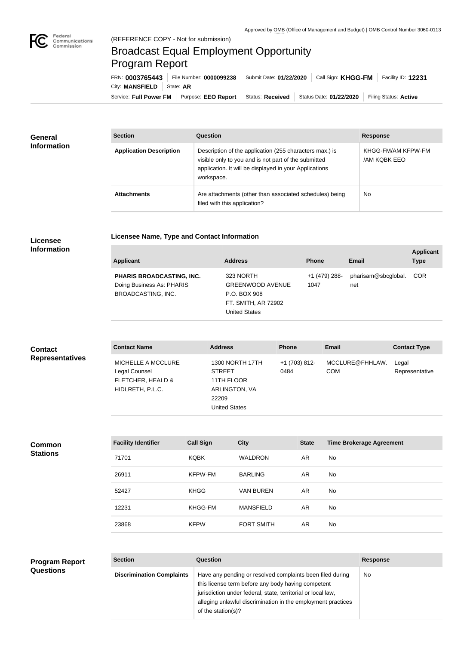

## Broadcast Equal Employment Opportunity Program Report

**Licensee Name, Type and Contact Information**

Service: Full Power FM Purpose: EEO Report | Status: Received | Status Date: 01/22/2020 | Filing Status: Active City: **MANSFIELD** | State: **AR** FRN: **0003765443** File Number: **0000099238** Submit Date: **01/22/2020** Call Sign: **KHGG-FM** Facility ID: **12231**

| <b>General</b><br><b>Information</b> | <b>Section</b>                 | Question                                                                                                                                                                                | <b>Response</b>                          |
|--------------------------------------|--------------------------------|-----------------------------------------------------------------------------------------------------------------------------------------------------------------------------------------|------------------------------------------|
|                                      | <b>Application Description</b> | Description of the application (255 characters max.) is<br>visible only to you and is not part of the submitted<br>application. It will be displayed in your Applications<br>workspace. | KHGG-FM/AM KFPW-FM<br><b>AM KOBK EEO</b> |
|                                      | <b>Attachments</b>             | Are attachments (other than associated schedules) being<br>filed with this application?                                                                                                 | <b>No</b>                                |

## **Licensee Information**

| <b>Applicant</b>                                                                           | <b>Address</b>                                                                                      | <b>Phone</b>          | Email                      | <b>Applicant</b><br><b>Type</b> |
|--------------------------------------------------------------------------------------------|-----------------------------------------------------------------------------------------------------|-----------------------|----------------------------|---------------------------------|
| <b>PHARIS BROADCASTING, INC.</b><br>Doing Business As: PHARIS<br><b>BROADCASTING, INC.</b> | 323 NORTH<br><b>GREENWOOD AVENUE</b><br>P.O. BOX 908<br>FT. SMITH, AR 72902<br><b>United States</b> | +1 (479) 288-<br>1047 | pharisam@sbcglobal.<br>net | <b>COR</b>                      |

| <b>Contact</b>         | <b>Contact Name</b>                                                          | <b>Address</b>                                                                                          | <b>Phone</b>          | <b>Email</b>                  | <b>Contact Type</b>     |
|------------------------|------------------------------------------------------------------------------|---------------------------------------------------------------------------------------------------------|-----------------------|-------------------------------|-------------------------|
| <b>Representatives</b> | MICHELLE A MCCLURE<br>Legal Counsel<br>FLETCHER, HEALD &<br>HIDLRETH, P.L.C. | <b>1300 NORTH 17TH</b><br><b>STREET</b><br>11TH FLOOR<br>ARLINGTON, VA<br>22209<br><b>United States</b> | +1 (703) 812-<br>0484 | MCCLURE@FHHLAW.<br><b>COM</b> | Legal<br>Representative |

**Common Stations**

| <b>Facility Identifier</b> | <b>Call Sign</b> | <b>City</b>       | <b>State</b> | <b>Time Brokerage Agreement</b> |
|----------------------------|------------------|-------------------|--------------|---------------------------------|
| 71701                      | <b>KQBK</b>      | <b>WALDRON</b>    | AR.          | No                              |
| 26911                      | <b>KFPW-FM</b>   | <b>BARLING</b>    | AR.          | No                              |
| 52427                      | <b>KHGG</b>      | <b>VAN BUREN</b>  | AR.          | No.                             |
| 12231                      | KHGG-FM          | <b>MANSFIELD</b>  | AR.          | <b>No</b>                       |
| 23868                      | <b>KFPW</b>      | <b>FORT SMITH</b> | AR           | No                              |

## **Program Report Questions**

| ,,,,,,,, |  |  |
|----------|--|--|
|          |  |  |
|          |  |  |
|          |  |  |
|          |  |  |

**Section Question Response Discrimination Complaints** | Have any pending or resolved complaints been filed during this license term before any body having competent jurisdiction under federal, state, territorial or local law, alleging unlawful discrimination in the employment practices of the station(s)? No